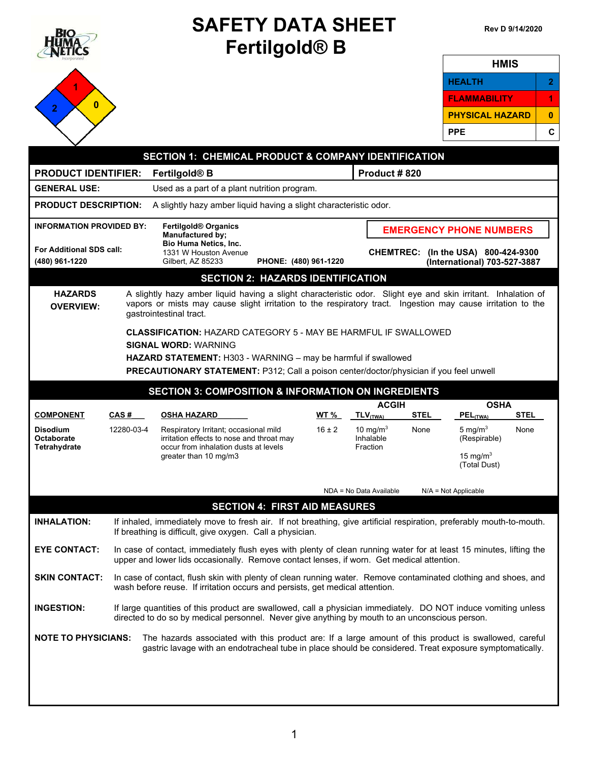| ВЮ                                                | <b>SAFETY DATA SHEET</b><br>Fertilgold <sup>®</sup> B                                                                                                                                          |                                                                                                                                                                                                                                                                                                                          |                       |                                               | Rev D 9/14/2020                |                             |                                       |             |                  |
|---------------------------------------------------|------------------------------------------------------------------------------------------------------------------------------------------------------------------------------------------------|--------------------------------------------------------------------------------------------------------------------------------------------------------------------------------------------------------------------------------------------------------------------------------------------------------------------------|-----------------------|-----------------------------------------------|--------------------------------|-----------------------------|---------------------------------------|-------------|------------------|
|                                                   |                                                                                                                                                                                                |                                                                                                                                                                                                                                                                                                                          |                       |                                               |                                |                             | <b>HMIS</b>                           |             |                  |
|                                                   |                                                                                                                                                                                                |                                                                                                                                                                                                                                                                                                                          |                       |                                               |                                |                             | <b>HEALTH</b>                         |             | 2                |
| $\bf{0}$                                          |                                                                                                                                                                                                |                                                                                                                                                                                                                                                                                                                          |                       |                                               |                                |                             | FLAMMABILITY                          |             | 1                |
| 2                                                 |                                                                                                                                                                                                |                                                                                                                                                                                                                                                                                                                          |                       |                                               |                                |                             | <b>PHYSICAL HAZARD</b>                |             | $\boldsymbol{0}$ |
|                                                   |                                                                                                                                                                                                |                                                                                                                                                                                                                                                                                                                          |                       |                                               |                                |                             | <b>PPE</b>                            |             | C                |
|                                                   |                                                                                                                                                                                                | <b>SECTION 1: CHEMICAL PRODUCT &amp; COMPANY IDENTIFICATION</b>                                                                                                                                                                                                                                                          |                       |                                               |                                |                             |                                       |             |                  |
| <b>PRODUCT IDENTIFIER:</b>                        |                                                                                                                                                                                                | Fertilgold <sup>®</sup> B                                                                                                                                                                                                                                                                                                |                       |                                               | Product #820                   |                             |                                       |             |                  |
| <b>GENERAL USE:</b>                               |                                                                                                                                                                                                | Used as a part of a plant nutrition program.                                                                                                                                                                                                                                                                             |                       |                                               |                                |                             |                                       |             |                  |
| <b>PRODUCT DESCRIPTION:</b>                       |                                                                                                                                                                                                | A slightly hazy amber liquid having a slight characteristic odor.                                                                                                                                                                                                                                                        |                       |                                               |                                |                             |                                       |             |                  |
| <b>INFORMATION PROVIDED BY:</b>                   |                                                                                                                                                                                                | <b>Fertilgold<sup>®</sup></b> Organics                                                                                                                                                                                                                                                                                   |                       |                                               |                                |                             |                                       |             |                  |
|                                                   |                                                                                                                                                                                                | <b>Manufactured by;</b><br><b>Bio Huma Netics, Inc.</b>                                                                                                                                                                                                                                                                  |                       |                                               | <b>EMERGENCY PHONE NUMBERS</b> |                             |                                       |             |                  |
| <b>For Additional SDS call:</b><br>(480) 961-1220 |                                                                                                                                                                                                | 1331 W Houston Avenue<br>Gilbert, AZ 85233                                                                                                                                                                                                                                                                               | PHONE: (480) 961-1220 |                                               | <b>CHEMTREC:</b>               |                             | (In the USA) 800-424-9300             |             |                  |
|                                                   |                                                                                                                                                                                                | <b>SECTION 2: HAZARDS IDENTIFICATION</b>                                                                                                                                                                                                                                                                                 |                       |                                               |                                |                             | (International) 703-527-3887          |             |                  |
| <b>OVERVIEW:</b>                                  |                                                                                                                                                                                                | vapors or mists may cause slight irritation to the respiratory tract. Ingestion may cause irritation to the<br>gastrointestinal tract.<br><b>CLASSIFICATION: HAZARD CATEGORY 5 - MAY BE HARMFUL IF SWALLOWED</b><br><b>SIGNAL WORD: WARNING</b><br><b>HAZARD STATEMENT:</b> H303 - WARNING - may be harmful if swallowed |                       |                                               |                                |                             |                                       |             |                  |
|                                                   |                                                                                                                                                                                                | PRECAUTIONARY STATEMENT: P312; Call a poison center/doctor/physician if you feel unwell                                                                                                                                                                                                                                  |                       |                                               |                                |                             |                                       |             |                  |
|                                                   |                                                                                                                                                                                                | <b>SECTION 3: COMPOSITION &amp; INFORMATION ON INGREDIENTS</b>                                                                                                                                                                                                                                                           |                       |                                               |                                |                             |                                       |             |                  |
| <b>COMPONENT</b>                                  | CAS#                                                                                                                                                                                           | <b>OSHA HAZARD</b>                                                                                                                                                                                                                                                                                                       | <b>WT %</b>           | $TLV$ <sub>(TWA)</sub>                        | <b>ACGIH</b>                   | <b>STEL</b>                 | <b>OSHA</b><br>$PEL$ <sub>(TWA)</sub> | <b>STEL</b> |                  |
| <b>Disodium</b><br>Octaborate<br>Tetrahydrate     | 12280-03-4                                                                                                                                                                                     | Respiratory Irritant; occasional mild<br>irritation effects to nose and throat may<br>occur from inhalation dusts at levels                                                                                                                                                                                              | $16 \pm 2$            | 10 mg/m <sup>3</sup><br>Inhalable<br>Fraction |                                | None                        | 5 mg/ $m3$<br>(Respirable)            | None        |                  |
|                                                   | greater than 10 mg/m3                                                                                                                                                                          |                                                                                                                                                                                                                                                                                                                          |                       |                                               |                                | 15 mg/m $3$<br>(Total Dust) |                                       |             |                  |
|                                                   |                                                                                                                                                                                                |                                                                                                                                                                                                                                                                                                                          |                       | NDA = No Data Available                       |                                |                             | $N/A = Not Applicable$                |             |                  |
|                                                   |                                                                                                                                                                                                | <b>SECTION 4: FIRST AID MEASURES</b>                                                                                                                                                                                                                                                                                     |                       |                                               |                                |                             |                                       |             |                  |
| <b>INHALATION:</b>                                |                                                                                                                                                                                                | If inhaled, immediately move to fresh air. If not breathing, give artificial respiration, preferably mouth-to-mouth.<br>If breathing is difficult, give oxygen. Call a physician.                                                                                                                                        |                       |                                               |                                |                             |                                       |             |                  |
| <b>EYE CONTACT:</b>                               |                                                                                                                                                                                                | In case of contact, immediately flush eyes with plenty of clean running water for at least 15 minutes, lifting the<br>upper and lower lids occasionally. Remove contact lenses, if worn. Get medical attention.                                                                                                          |                       |                                               |                                |                             |                                       |             |                  |
| <b>SKIN CONTACT:</b>                              | In case of contact, flush skin with plenty of clean running water. Remove contaminated clothing and shoes, and<br>wash before reuse. If irritation occurs and persists, get medical attention. |                                                                                                                                                                                                                                                                                                                          |                       |                                               |                                |                             |                                       |             |                  |
| <b>INGESTION:</b>                                 |                                                                                                                                                                                                | If large quantities of this product are swallowed, call a physician immediately. DO NOT induce vomiting unless<br>directed to do so by medical personnel. Never give anything by mouth to an unconscious person.                                                                                                         |                       |                                               |                                |                             |                                       |             |                  |
| <b>NOTE TO PHYSICIANS:</b>                        |                                                                                                                                                                                                | The hazards associated with this product are: If a large amount of this product is swallowed, careful<br>gastric lavage with an endotracheal tube in place should be considered. Treat exposure symptomatically.                                                                                                         |                       |                                               |                                |                             |                                       |             |                  |
|                                                   |                                                                                                                                                                                                |                                                                                                                                                                                                                                                                                                                          |                       |                                               |                                |                             |                                       |             |                  |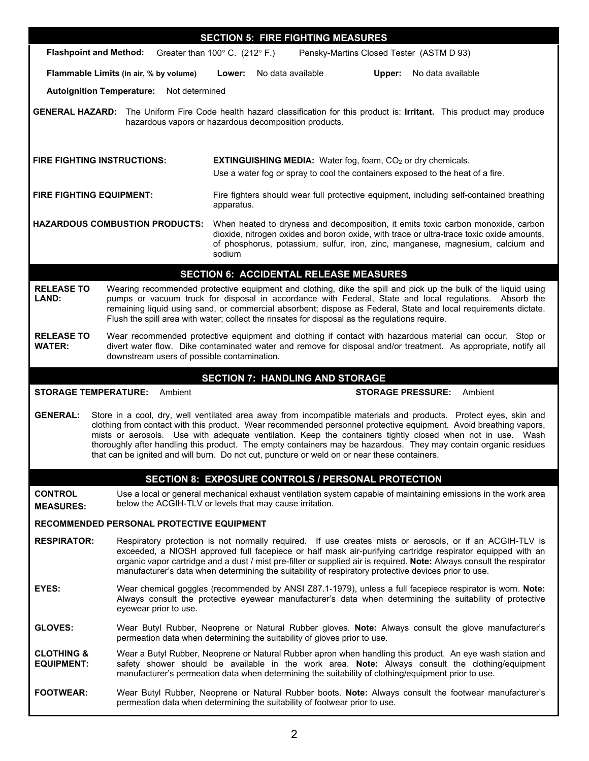| <b>SECTION 5: FIRE FIGHTING MEASURES</b>                                                                                                                                                                                                                                                                                                                                                                                                                                                                                                                                                   |                                                                                                                                                                                                                                                                                                                                                                                                                                               |                                                                                                                                                                                                                                                                                                                                                                                                                                                         |  |  |  |  |
|--------------------------------------------------------------------------------------------------------------------------------------------------------------------------------------------------------------------------------------------------------------------------------------------------------------------------------------------------------------------------------------------------------------------------------------------------------------------------------------------------------------------------------------------------------------------------------------------|-----------------------------------------------------------------------------------------------------------------------------------------------------------------------------------------------------------------------------------------------------------------------------------------------------------------------------------------------------------------------------------------------------------------------------------------------|---------------------------------------------------------------------------------------------------------------------------------------------------------------------------------------------------------------------------------------------------------------------------------------------------------------------------------------------------------------------------------------------------------------------------------------------------------|--|--|--|--|
| <b>Flashpoint and Method:</b><br>Greater than $100^{\circ}$ C. (212 $^{\circ}$ F.)<br>Pensky-Martins Closed Tester (ASTM D 93)                                                                                                                                                                                                                                                                                                                                                                                                                                                             |                                                                                                                                                                                                                                                                                                                                                                                                                                               |                                                                                                                                                                                                                                                                                                                                                                                                                                                         |  |  |  |  |
|                                                                                                                                                                                                                                                                                                                                                                                                                                                                                                                                                                                            | Flammable Limits (in air, % by volume)                                                                                                                                                                                                                                                                                                                                                                                                        | Lower:<br>No data available<br>Upper:<br>No data available                                                                                                                                                                                                                                                                                                                                                                                              |  |  |  |  |
| <b>Autoignition Temperature:</b>                                                                                                                                                                                                                                                                                                                                                                                                                                                                                                                                                           | Not determined                                                                                                                                                                                                                                                                                                                                                                                                                                |                                                                                                                                                                                                                                                                                                                                                                                                                                                         |  |  |  |  |
|                                                                                                                                                                                                                                                                                                                                                                                                                                                                                                                                                                                            | <b>GENERAL HAZARD:</b> The Uniform Fire Code health hazard classification for this product is: Irritant. This product may produce<br>hazardous vapors or hazardous decomposition products.                                                                                                                                                                                                                                                    |                                                                                                                                                                                                                                                                                                                                                                                                                                                         |  |  |  |  |
| <b>FIRE FIGHTING INSTRUCTIONS:</b>                                                                                                                                                                                                                                                                                                                                                                                                                                                                                                                                                         |                                                                                                                                                                                                                                                                                                                                                                                                                                               | <b>EXTINGUISHING MEDIA:</b> Water fog, foam, CO <sub>2</sub> or dry chemicals.<br>Use a water fog or spray to cool the containers exposed to the heat of a fire.                                                                                                                                                                                                                                                                                        |  |  |  |  |
| <b>FIRE FIGHTING EQUIPMENT:</b>                                                                                                                                                                                                                                                                                                                                                                                                                                                                                                                                                            |                                                                                                                                                                                                                                                                                                                                                                                                                                               | Fire fighters should wear full protective equipment, including self-contained breathing<br>apparatus.                                                                                                                                                                                                                                                                                                                                                   |  |  |  |  |
| <b>HAZARDOUS COMBUSTION PRODUCTS:</b>                                                                                                                                                                                                                                                                                                                                                                                                                                                                                                                                                      |                                                                                                                                                                                                                                                                                                                                                                                                                                               | When heated to dryness and decomposition, it emits toxic carbon monoxide, carbon<br>dioxide, nitrogen oxides and boron oxide, with trace or ultra-trace toxic oxide amounts,<br>of phosphorus, potassium, sulfur, iron, zinc, manganese, magnesium, calcium and<br>sodium                                                                                                                                                                               |  |  |  |  |
|                                                                                                                                                                                                                                                                                                                                                                                                                                                                                                                                                                                            |                                                                                                                                                                                                                                                                                                                                                                                                                                               | <b>SECTION 6: ACCIDENTAL RELEASE MEASURES</b>                                                                                                                                                                                                                                                                                                                                                                                                           |  |  |  |  |
| <b>RELEASE TO</b><br>LAND:                                                                                                                                                                                                                                                                                                                                                                                                                                                                                                                                                                 | Wearing recommended protective equipment and clothing, dike the spill and pick up the bulk of the liquid using<br>pumps or vacuum truck for disposal in accordance with Federal, State and local regulations. Absorb the<br>remaining liquid using sand, or commercial absorbent; dispose as Federal, State and local requirements dictate.<br>Flush the spill area with water; collect the rinsates for disposal as the regulations require. |                                                                                                                                                                                                                                                                                                                                                                                                                                                         |  |  |  |  |
| <b>RELEASE TO</b><br>Wear recommended protective equipment and clothing if contact with hazardous material can occur. Stop or<br><b>WATER:</b><br>divert water flow. Dike contaminated water and remove for disposal and/or treatment. As appropriate, notify all<br>downstream users of possible contamination.                                                                                                                                                                                                                                                                           |                                                                                                                                                                                                                                                                                                                                                                                                                                               |                                                                                                                                                                                                                                                                                                                                                                                                                                                         |  |  |  |  |
|                                                                                                                                                                                                                                                                                                                                                                                                                                                                                                                                                                                            |                                                                                                                                                                                                                                                                                                                                                                                                                                               | <b>SECTION 7: HANDLING AND STORAGE</b>                                                                                                                                                                                                                                                                                                                                                                                                                  |  |  |  |  |
| <b>STORAGE TEMPERATURE:</b><br>Ambient<br><b>STORAGE PRESSURE:</b><br>Ambient                                                                                                                                                                                                                                                                                                                                                                                                                                                                                                              |                                                                                                                                                                                                                                                                                                                                                                                                                                               |                                                                                                                                                                                                                                                                                                                                                                                                                                                         |  |  |  |  |
| <b>GENERAL:</b><br>Store in a cool, dry, well ventilated area away from incompatible materials and products. Protect eyes, skin and<br>clothing from contact with this product. Wear recommended personnel protective equipment. Avoid breathing vapors,<br>mists or aerosols. Use with adequate ventilation. Keep the containers tightly closed when not in use. Wash<br>thoroughly after handling this product. The empty containers may be hazardous. They may contain organic residues<br>that can be ignited and will burn. Do not cut, puncture or weld on or near these containers. |                                                                                                                                                                                                                                                                                                                                                                                                                                               |                                                                                                                                                                                                                                                                                                                                                                                                                                                         |  |  |  |  |
|                                                                                                                                                                                                                                                                                                                                                                                                                                                                                                                                                                                            |                                                                                                                                                                                                                                                                                                                                                                                                                                               | <b>SECTION 8: EXPOSURE CONTROLS / PERSONAL PROTECTION</b>                                                                                                                                                                                                                                                                                                                                                                                               |  |  |  |  |
| <b>CONTROL</b><br><b>MEASURES:</b>                                                                                                                                                                                                                                                                                                                                                                                                                                                                                                                                                         |                                                                                                                                                                                                                                                                                                                                                                                                                                               | Use a local or general mechanical exhaust ventilation system capable of maintaining emissions in the work area<br>below the ACGIH-TLV or levels that may cause irritation.                                                                                                                                                                                                                                                                              |  |  |  |  |
| <b>RECOMMENDED PERSONAL PROTECTIVE EQUIPMENT</b>                                                                                                                                                                                                                                                                                                                                                                                                                                                                                                                                           |                                                                                                                                                                                                                                                                                                                                                                                                                                               |                                                                                                                                                                                                                                                                                                                                                                                                                                                         |  |  |  |  |
| <b>RESPIRATOR:</b>                                                                                                                                                                                                                                                                                                                                                                                                                                                                                                                                                                         |                                                                                                                                                                                                                                                                                                                                                                                                                                               | Respiratory protection is not normally required. If use creates mists or aerosols, or if an ACGIH-TLV is<br>exceeded, a NIOSH approved full facepiece or half mask air-purifying cartridge respirator equipped with an<br>organic vapor cartridge and a dust / mist pre-filter or supplied air is required. Note: Always consult the respirator<br>manufacturer's data when determining the suitability of respiratory protective devices prior to use. |  |  |  |  |
| EYES:                                                                                                                                                                                                                                                                                                                                                                                                                                                                                                                                                                                      | eyewear prior to use.                                                                                                                                                                                                                                                                                                                                                                                                                         | Wear chemical goggles (recommended by ANSI Z87.1-1979), unless a full facepiece respirator is worn. Note:<br>Always consult the protective eyewear manufacturer's data when determining the suitability of protective                                                                                                                                                                                                                                   |  |  |  |  |
| <b>GLOVES:</b>                                                                                                                                                                                                                                                                                                                                                                                                                                                                                                                                                                             | Wear Butyl Rubber, Neoprene or Natural Rubber gloves. Note: Always consult the glove manufacturer's<br>permeation data when determining the suitability of gloves prior to use.                                                                                                                                                                                                                                                               |                                                                                                                                                                                                                                                                                                                                                                                                                                                         |  |  |  |  |
| <b>CLOTHING &amp;</b><br><b>EQUIPMENT:</b>                                                                                                                                                                                                                                                                                                                                                                                                                                                                                                                                                 | Wear a Butyl Rubber, Neoprene or Natural Rubber apron when handling this product. An eye wash station and<br>safety shower should be available in the work area. Note: Always consult the clothing/equipment<br>manufacturer's permeation data when determining the suitability of clothing/equipment prior to use.                                                                                                                           |                                                                                                                                                                                                                                                                                                                                                                                                                                                         |  |  |  |  |
|                                                                                                                                                                                                                                                                                                                                                                                                                                                                                                                                                                                            | Wear Butyl Rubber, Neoprene or Natural Rubber boots. Note: Always consult the footwear manufacturer's                                                                                                                                                                                                                                                                                                                                         |                                                                                                                                                                                                                                                                                                                                                                                                                                                         |  |  |  |  |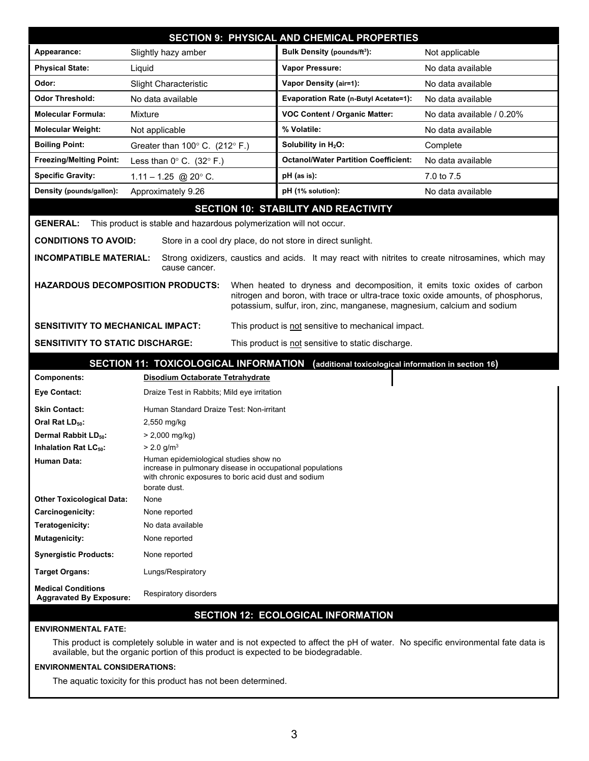| <b>SECTION 9: PHYSICAL AND CHEMICAL PROPERTIES</b>                                                                                                                        |                                                                     |                                                                                                    |                           |  |
|---------------------------------------------------------------------------------------------------------------------------------------------------------------------------|---------------------------------------------------------------------|----------------------------------------------------------------------------------------------------|---------------------------|--|
| Appearance:                                                                                                                                                               | Slightly hazy amber                                                 | <b>Bulk Density (pounds/ft3):</b>                                                                  | Not applicable            |  |
| <b>Physical State:</b>                                                                                                                                                    | Liquid                                                              | Vapor Pressure:                                                                                    | No data available         |  |
| Odor:                                                                                                                                                                     | <b>Slight Characteristic</b>                                        | <b>Vapor Density (air=1):</b>                                                                      | No data available         |  |
| <b>Odor Threshold:</b>                                                                                                                                                    | No data available                                                   | Evaporation Rate (n-Butyl Acetate=1):                                                              | No data available         |  |
| <b>Molecular Formula:</b>                                                                                                                                                 | Mixture                                                             | <b>VOC Content / Organic Matter:</b>                                                               | No data available / 0.20% |  |
| <b>Molecular Weight:</b>                                                                                                                                                  | Not applicable                                                      | % Volatile:                                                                                        | No data available         |  |
| <b>Boiling Point:</b>                                                                                                                                                     | Greater than $100^{\circ}$ C. (212° F.)                             | Solubility in H <sub>2</sub> O:                                                                    | Complete                  |  |
| <b>Freezing/Melting Point:</b>                                                                                                                                            | Less than $0^{\circ}$ C. (32 $^{\circ}$ F.)                         | <b>Octanol/Water Partition Coefficient:</b>                                                        | No data available         |  |
| <b>Specific Gravity:</b>                                                                                                                                                  | $1.11 - 1.25$ @ 20° C.                                              | pH (as is):                                                                                        | 7.0 to 7.5                |  |
| Density (pounds/gallon):                                                                                                                                                  | Approximately 9.26                                                  | pH (1% solution):                                                                                  | No data available         |  |
|                                                                                                                                                                           |                                                                     | <b>SECTION 10: STABILITY AND REACTIVITY</b>                                                        |                           |  |
| <b>GENERAL:</b>                                                                                                                                                           | This product is stable and hazardous polymerization will not occur. |                                                                                                    |                           |  |
| <b>CONDITIONS TO AVOID:</b>                                                                                                                                               | Store in a cool dry place, do not store in direct sunlight.         |                                                                                                    |                           |  |
|                                                                                                                                                                           |                                                                     |                                                                                                    |                           |  |
| <b>INCOMPATIBLE MATERIAL:</b>                                                                                                                                             | cause cancer.                                                       | Strong oxidizers, caustics and acids. It may react with nitrites to create nitrosamines, which may |                           |  |
|                                                                                                                                                                           | <b>HAZARDOUS DECOMPOSITION PRODUCTS:</b>                            | When heated to dryness and decomposition, it emits toxic oxides of carbon                          |                           |  |
|                                                                                                                                                                           |                                                                     | nitrogen and boron, with trace or ultra-trace toxic oxide amounts, of phosphorus,                  |                           |  |
|                                                                                                                                                                           |                                                                     | potassium, sulfur, iron, zinc, manganese, magnesium, calcium and sodium                            |                           |  |
| <b>SENSITIVITY TO MECHANICAL IMPACT:</b>                                                                                                                                  |                                                                     | This product is not sensitive to mechanical impact.                                                |                           |  |
| <b>SENSITIVITY TO STATIC DISCHARGE:</b><br>This product is not sensitive to static discharge.                                                                             |                                                                     |                                                                                                    |                           |  |
| SECTION 11: TOXICOLOGICAL INFORMATION (additional toxicological information in section 16)                                                                                |                                                                     |                                                                                                    |                           |  |
| <b>Components:</b>                                                                                                                                                        | Disodium Octaborate Tetrahydrate                                    |                                                                                                    |                           |  |
| <b>Eye Contact:</b>                                                                                                                                                       | Draize Test in Rabbits; Mild eye irritation                         |                                                                                                    |                           |  |
| <b>Skin Contact:</b>                                                                                                                                                      | Human Standard Draize Test: Non-irritant                            |                                                                                                    |                           |  |
| Oral Rat LD <sub>50</sub> :                                                                                                                                               | 2,550 mg/kg                                                         |                                                                                                    |                           |  |
| Dermal Rabbit LD <sub>50</sub> :                                                                                                                                          | $> 2,000$ mg/kg)                                                    |                                                                                                    |                           |  |
| Inhalation Rat LC <sub>50</sub> :                                                                                                                                         | $> 2.0$ g/m <sup>3</sup>                                            |                                                                                                    |                           |  |
| Human epidemiological studies show no<br>Human Data:<br>increase in pulmonary disease in occupational populations<br>with chronic exposures to boric acid dust and sodium |                                                                     |                                                                                                    |                           |  |
| borate dust.<br><b>Other Toxicological Data:</b><br>None                                                                                                                  |                                                                     |                                                                                                    |                           |  |
| Carcinogenicity:                                                                                                                                                          | None reported                                                       |                                                                                                    |                           |  |
| Teratogenicity:                                                                                                                                                           | No data available                                                   |                                                                                                    |                           |  |
| <b>Mutagenicity:</b>                                                                                                                                                      | None reported                                                       |                                                                                                    |                           |  |
| <b>Synergistic Products:</b><br>None reported                                                                                                                             |                                                                     |                                                                                                    |                           |  |
| <b>Target Organs:</b>                                                                                                                                                     | Lungs/Respiratory                                                   |                                                                                                    |                           |  |
| <b>Medical Conditions</b><br>Respiratory disorders<br><b>Aggravated By Exposure:</b>                                                                                      |                                                                     |                                                                                                    |                           |  |
| <b>SECTION 12: ECOLOGICAL INFORMATION</b>                                                                                                                                 |                                                                     |                                                                                                    |                           |  |
| <b>ENVIRONMENTAL FATE:</b>                                                                                                                                                |                                                                     |                                                                                                    |                           |  |
| This product is completely soluble in water and is not expected to affect the pH of water. No specific environmental fate data is                                         |                                                                     |                                                                                                    |                           |  |
| available, but the organic portion of this product is expected to be biodegradable.                                                                                       |                                                                     |                                                                                                    |                           |  |

## **ENVIRONMENTAL CONSIDERATIONS:**

The aquatic toxicity for this product has not been determined.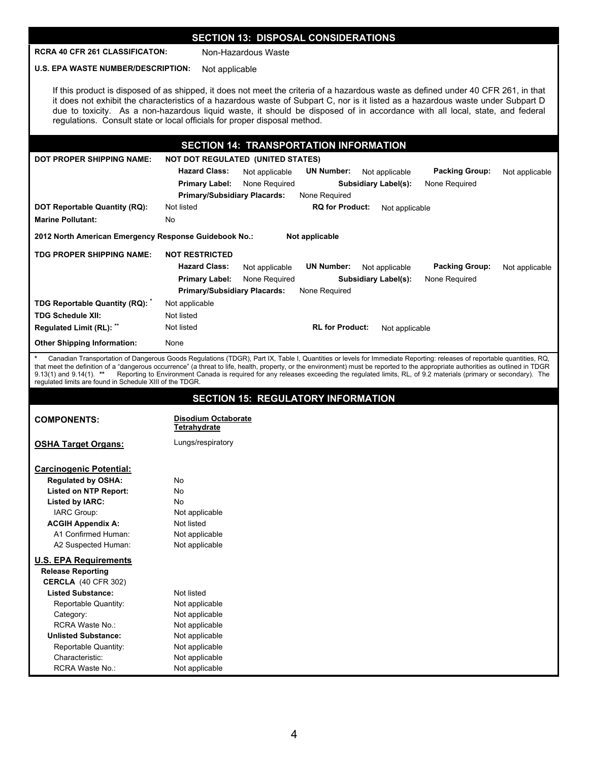## **SECTION 13: DISPOSAL CONSIDERATIONS**

**RCRA 40 CFR 261 CLASSIFICATON:** Non-Hazardous Waste

**U.S. EPA WASTE NUMBER/DESCRIPTION:** Not applicable

If this product is disposed of as shipped, it does not meet the criteria of a hazardous waste as defined under 40 CFR 261, in that it does not exhibit the characteristics of a hazardous waste of Subpart C, nor is it listed as a hazardous waste under Subpart D due to toxicity. As a non-hazardous liquid waste, it should be disposed of in accordance with all local, state, and federal regulations. Consult state or local officials for proper disposal method.

|                                                       | <b>SECTION 14: TRANSPORTATION INFORMATION</b>                                                                            |  |  |  |
|-------------------------------------------------------|--------------------------------------------------------------------------------------------------------------------------|--|--|--|
| <b>DOT PROPER SHIPPING NAME:</b>                      | <b>NOT DOT REGULATED (UNITED STATES)</b>                                                                                 |  |  |  |
|                                                       | <b>Hazard Class:</b><br><b>Packing Group:</b><br><b>UN Number:</b><br>Not applicable<br>Not applicable<br>Not applicable |  |  |  |
|                                                       | None Required<br><b>Subsidiary Label(s):</b><br>None Required<br><b>Primary Label:</b>                                   |  |  |  |
|                                                       | None Required<br><b>Primary/Subsidiary Placards:</b>                                                                     |  |  |  |
| DOT Reportable Quantity (RQ):                         | Not listed<br><b>RQ for Product:</b><br>Not applicable                                                                   |  |  |  |
| <b>Marine Pollutant:</b>                              | No                                                                                                                       |  |  |  |
| 2012 North American Emergency Response Guidebook No.: | Not applicable                                                                                                           |  |  |  |
| TDG PROPER SHIPPING NAME:                             | <b>NOT RESTRICTED</b>                                                                                                    |  |  |  |
|                                                       | <b>Hazard Class:</b><br><b>Packing Group:</b><br><b>UN Number:</b><br>Not applicable<br>Not applicable<br>Not applicable |  |  |  |
|                                                       | None Required<br><b>Primary Label:</b><br><b>Subsidiary Label(s):</b><br>None Required                                   |  |  |  |
|                                                       | <b>Primary/Subsidiary Placards:</b><br>None Required                                                                     |  |  |  |
| TDG Reportable Quantity (RQ):                         | Not applicable                                                                                                           |  |  |  |
| <b>TDG Schedule XII:</b>                              | Not listed                                                                                                               |  |  |  |
| Regulated Limit (RL): **                              | <b>RL for Product:</b><br>Not listed<br>Not applicable                                                                   |  |  |  |
| <b>Other Shipping Information:</b>                    | None                                                                                                                     |  |  |  |

**\*** Canadian Transportation of Dangerous Goods Regulations (TDGR), Part IX, Table I, Quantities or levels for Immediate Reporting: releases of reportable quantities, RQ, that meet the definition of a "dangerous occurrence" (a threat to life, health, property, or the environment) must be reported to the appropriate authorities as outlined in TDGR<br>9.13(1) and 9.14(1). \*\* Reporting to E regulated limits are found in Schedule XIII of the TDGR.

|                                | <b>SECTION 15: REGULATORY INFORMATION</b>         |
|--------------------------------|---------------------------------------------------|
| <b>COMPONENTS:</b>             | <b>Disodium Octaborate</b><br><b>Tetrahydrate</b> |
| <b>OSHA Target Organs:</b>     | Lungs/respiratory                                 |
| <b>Carcinogenic Potential:</b> |                                                   |
| <b>Regulated by OSHA:</b>      | No                                                |
| <b>Listed on NTP Report:</b>   | No                                                |
| Listed by IARC:                | <b>No</b>                                         |
| IARC Group:                    | Not applicable                                    |
| <b>ACGIH Appendix A:</b>       | Not listed                                        |
| A1 Confirmed Human:            | Not applicable                                    |
| A2 Suspected Human:            | Not applicable                                    |
| <b>U.S. EPA Requirements</b>   |                                                   |
| <b>Release Reporting</b>       |                                                   |
| <b>CERCLA</b> (40 CFR 302)     |                                                   |
| <b>Listed Substance:</b>       | Not listed                                        |
| Reportable Quantity:           | Not applicable                                    |
| Category:                      | Not applicable                                    |
| <b>RCRA Waste No.:</b>         | Not applicable                                    |
| <b>Unlisted Substance:</b>     | Not applicable                                    |
| Reportable Quantity:           | Not applicable                                    |
| Characteristic:                | Not applicable                                    |
| <b>RCRA Waste No.:</b>         | Not applicable                                    |